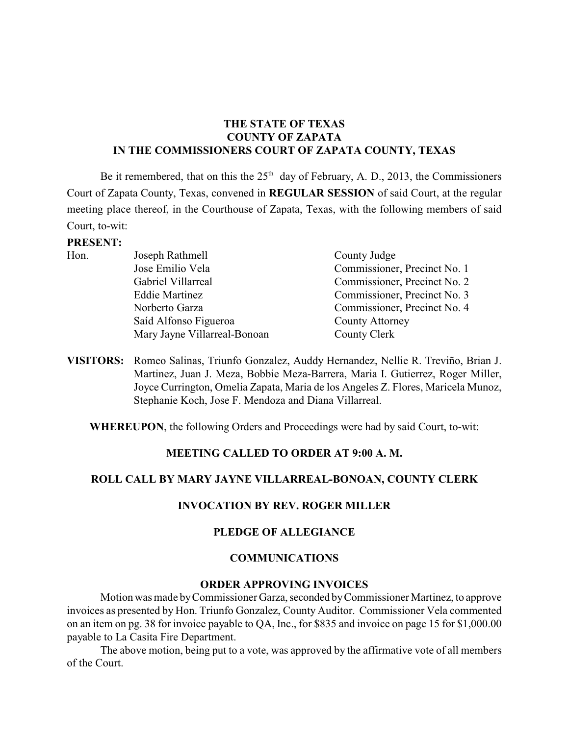## **THE STATE OF TEXAS COUNTY OF ZAPATA IN THE COMMISSIONERS COURT OF ZAPATA COUNTY, TEXAS**

Be it remembered, that on this the  $25<sup>th</sup>$  day of February, A. D., 2013, the Commissioners Court of Zapata County, Texas, convened in **REGULAR SESSION** of said Court, at the regular meeting place thereof, in the Courthouse of Zapata, Texas, with the following members of said Court, to-wit:

#### **PRESENT:**

| Hon. | Joseph Rathmell              | County Judge                 |
|------|------------------------------|------------------------------|
|      | Jose Emilio Vela             | Commissioner, Precinct No. 1 |
|      | Gabriel Villarreal           | Commissioner, Precinct No. 2 |
|      | <b>Eddie Martinez</b>        | Commissioner, Precinct No. 3 |
|      | Norberto Garza               | Commissioner, Precinct No. 4 |
|      | Saíd Alfonso Figueroa        | <b>County Attorney</b>       |
|      | Mary Jayne Villarreal-Bonoan | County Clerk                 |
|      |                              |                              |

**VISITORS:** Romeo Salinas, Triunfo Gonzalez, Auddy Hernandez, Nellie R. Treviño, Brian J. Martinez, Juan J. Meza, Bobbie Meza-Barrera, Maria I. Gutierrez, Roger Miller, Joyce Currington, Omelia Zapata, Maria de los Angeles Z. Flores, Maricela Munoz, Stephanie Koch, Jose F. Mendoza and Diana Villarreal.

**WHEREUPON**, the following Orders and Proceedings were had by said Court, to-wit:

#### **MEETING CALLED TO ORDER AT 9:00 A. M.**

#### **ROLL CALL BY MARY JAYNE VILLARREAL-BONOAN, COUNTY CLERK**

#### **INVOCATION BY REV. ROGER MILLER**

#### **PLEDGE OF ALLEGIANCE**

#### **COMMUNICATIONS**

#### **ORDER APPROVING INVOICES**

Motion was made by Commissioner Garza, seconded by Commissioner Martinez, to approve invoices as presented by Hon. Triunfo Gonzalez, County Auditor. Commissioner Vela commented on an item on pg. 38 for invoice payable to QA, Inc., for \$835 and invoice on page 15 for \$1,000.00 payable to La Casita Fire Department.

The above motion, being put to a vote, was approved by the affirmative vote of all members of the Court.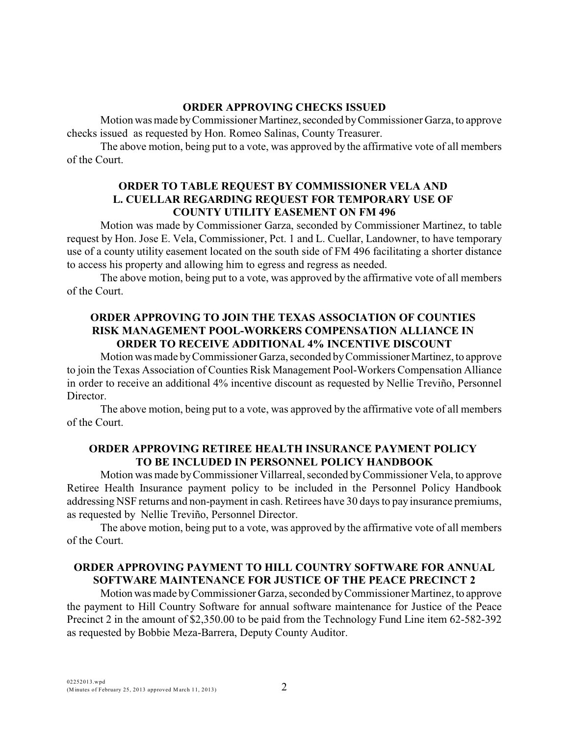## **ORDER APPROVING CHECKS ISSUED**

Motion was made by Commissioner Martinez, seconded by Commissioner Garza, to approve checks issued as requested by Hon. Romeo Salinas, County Treasurer.

The above motion, being put to a vote, was approved by the affirmative vote of all members of the Court.

#### **ORDER TO TABLE REQUEST BY COMMISSIONER VELA AND L. CUELLAR REGARDING REQUEST FOR TEMPORARY USE OF COUNTY UTILITY EASEMENT ON FM 496**

Motion was made by Commissioner Garza, seconded by Commissioner Martinez, to table request by Hon. Jose E. Vela, Commissioner, Pct. 1 and L. Cuellar, Landowner, to have temporary use of a county utility easement located on the south side of FM 496 facilitating a shorter distance to access his property and allowing him to egress and regress as needed.

The above motion, being put to a vote, was approved by the affirmative vote of all members of the Court.

## **ORDER APPROVING TO JOIN THE TEXAS ASSOCIATION OF COUNTIES RISK MANAGEMENT POOL-WORKERS COMPENSATION ALLIANCE IN ORDER TO RECEIVE ADDITIONAL 4% INCENTIVE DISCOUNT**

Motion was made by Commissioner Garza, seconded by Commissioner Martinez, to approve to join the Texas Association of Counties Risk Management Pool-Workers Compensation Alliance in order to receive an additional 4% incentive discount as requested by Nellie Treviño, Personnel Director.

The above motion, being put to a vote, was approved by the affirmative vote of all members of the Court.

## **ORDER APPROVING RETIREE HEALTH INSURANCE PAYMENT POLICY TO BE INCLUDED IN PERSONNEL POLICY HANDBOOK**

Motion was made byCommissioner Villarreal, seconded byCommissioner Vela, to approve Retiree Health Insurance payment policy to be included in the Personnel Policy Handbook addressing NSF returns and non-payment in cash. Retirees have 30 days to pay insurance premiums, as requested by Nellie Treviño, Personnel Director.

The above motion, being put to a vote, was approved by the affirmative vote of all members of the Court.

## **ORDER APPROVING PAYMENT TO HILL COUNTRY SOFTWARE FOR ANNUAL SOFTWARE MAINTENANCE FOR JUSTICE OF THE PEACE PRECINCT 2**

Motion was made by Commissioner Garza, seconded by Commissioner Martinez, to approve the payment to Hill Country Software for annual software maintenance for Justice of the Peace Precinct 2 in the amount of \$2,350.00 to be paid from the Technology Fund Line item 62-582-392 as requested by Bobbie Meza-Barrera, Deputy County Auditor.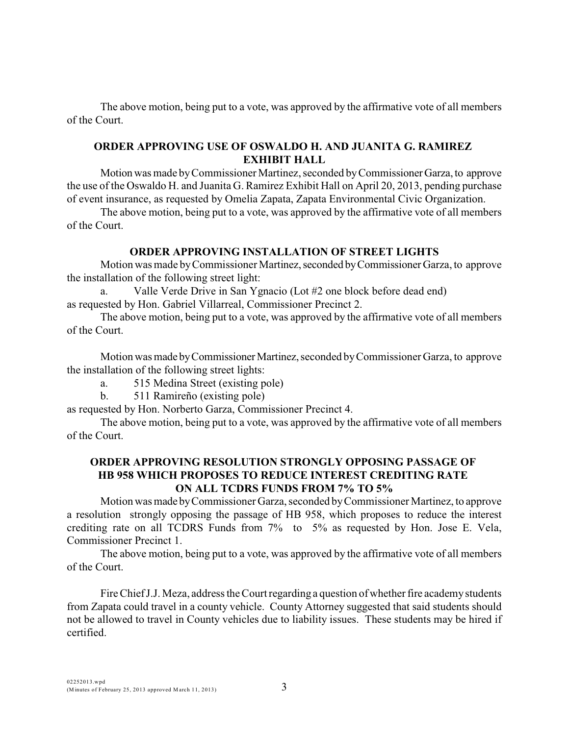The above motion, being put to a vote, was approved by the affirmative vote of all members of the Court.

## **ORDER APPROVING USE OF OSWALDO H. AND JUANITA G. RAMIREZ EXHIBIT HALL**

Motion was made by Commissioner Martinez, seconded by Commissioner Garza, to approve the use of the Oswaldo H. and Juanita G. Ramirez Exhibit Hall on April 20, 2013, pending purchase of event insurance, as requested by Omelia Zapata, Zapata Environmental Civic Organization.

The above motion, being put to a vote, was approved by the affirmative vote of all members of the Court.

## **ORDER APPROVING INSTALLATION OF STREET LIGHTS**

Motion was made by Commissioner Martinez, seconded by Commissioner Garza, to approve the installation of the following street light:

a. Valle Verde Drive in San Ygnacio (Lot #2 one block before dead end) as requested by Hon. Gabriel Villarreal, Commissioner Precinct 2.

The above motion, being put to a vote, was approved by the affirmative vote of all members of the Court.

Motion was made by Commissioner Martinez, seconded by Commissioner Garza, to approve the installation of the following street lights:

a. 515 Medina Street (existing pole)

b. 511 Ramireño (existing pole)

as requested by Hon. Norberto Garza, Commissioner Precinct 4.

The above motion, being put to a vote, was approved by the affirmative vote of all members of the Court.

## **ORDER APPROVING RESOLUTION STRONGLY OPPOSING PASSAGE OF HB 958 WHICH PROPOSES TO REDUCE INTEREST CREDITING RATE ON ALL TCDRS FUNDS FROM 7% TO 5%**

Motion was made by Commissioner Garza, seconded by Commissioner Martinez, to approve a resolution strongly opposing the passage of HB 958, which proposes to reduce the interest crediting rate on all TCDRS Funds from 7% to 5% as requested by Hon. Jose E. Vela, Commissioner Precinct 1.

The above motion, being put to a vote, was approved by the affirmative vote of all members of the Court.

Fire Chief J.J. Meza, address the Court regarding a question of whether fire academy students from Zapata could travel in a county vehicle. County Attorney suggested that said students should not be allowed to travel in County vehicles due to liability issues. These students may be hired if certified.